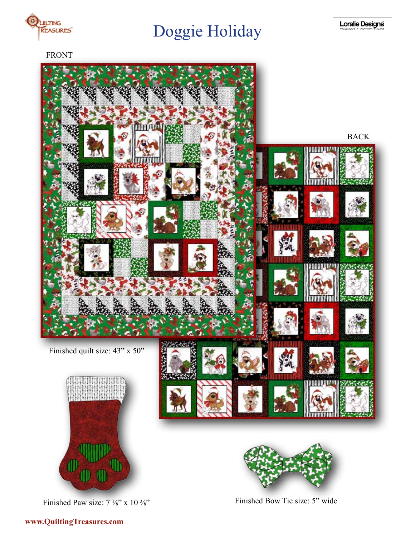

FRONT



Finished Paw size:  $7\frac{1}{8}$ " x 10  $\frac{3}{8}$ "

Finished Bow Tie size: 5" wide

## **www.QuiltingTreasures.com**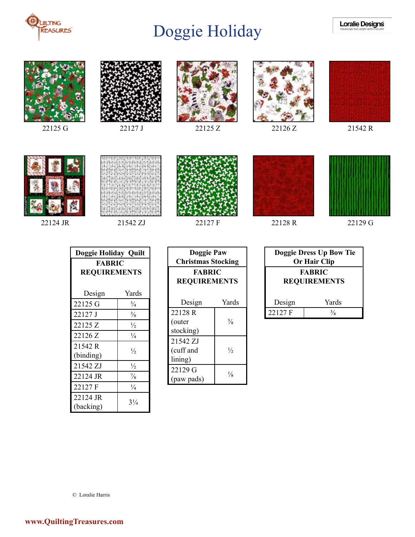







22125 G 22127 J 22125 Z 22126 Z 22126 Z 21542 R















22124 JR 21542 ZJ 22127 F 22128 R 22129 G

| Doggie Holiday Quilt                 |                |  |
|--------------------------------------|----------------|--|
| <b>FABRIC</b><br><b>REQUIREMENTS</b> |                |  |
| Design                               | Yards          |  |
| 22125 G                              | $\frac{3}{4}$  |  |
| 22127 J                              | $\frac{3}{8}$  |  |
| 22125 Z                              | $\frac{1}{2}$  |  |
| 22126 Z                              | $\frac{1}{4}$  |  |
| 21542 R<br>(binding)                 | $\frac{1}{2}$  |  |
| 21542 ZJ                             | $\frac{1}{2}$  |  |
| 22124 JR                             | $\frac{7}{8}$  |  |
| 22127 F                              | $\frac{1}{4}$  |  |
| 22124 JR<br>(backing)                | $3\frac{1}{4}$ |  |

| <b>Doggie Paw</b><br><b>Christmas Stocking</b> |               |
|------------------------------------------------|---------------|
| <b>FABRIC</b><br><b>REQUIREMENTS</b>           |               |
| Design                                         | Yards         |
| 22128R                                         |               |
| (outer                                         | $\frac{3}{8}$ |
| stocking)                                      |               |
| 21542 ZJ                                       |               |
| (cuff and                                      | $\frac{1}{2}$ |
| lining)                                        |               |
| 22129 G                                        |               |
| (paw pads)                                     | $\frac{1}{8}$ |

| Doggie Dress Up Bow Tie<br><b>Or Hair Clip</b> |                      |  |
|------------------------------------------------|----------------------|--|
| <b>FABRIC</b><br><b>REQUIREMENTS</b>           |                      |  |
| Design                                         | Yards                |  |
| 22127 F                                        | $\frac{3}{\sqrt{2}}$ |  |

© Loralie Harris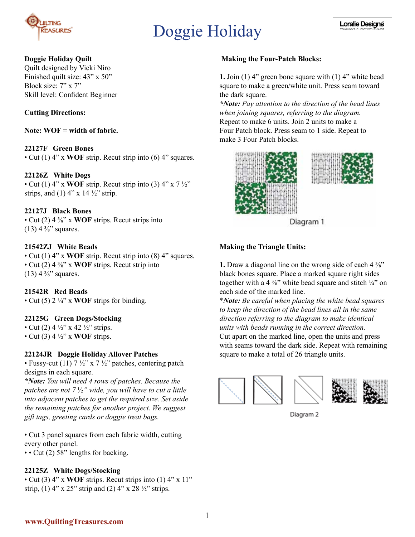

#### **Doggie Holiday Quilt**

Quilt designed by Vicki Niro Finished quilt size: 43" x 50" Block size: 7" x 7" Skill level: Confident Beginner

### **Cutting Directions:**

**Note: WOF = width of fabric.**

#### **22127F Green Bones**

• Cut (1) 4" x **WOF** strip. Recut strip into (6) 4" squares.

#### **22126Z White Dogs**

• Cut (1)  $4''$  x **WOF** strip. Recut strip into (3)  $4''$  x  $7\frac{1}{2}$ strips, and (1)  $4$ " x 14  $\frac{1}{2}$ " strip.

#### **22127J Black Bones**

• Cut (2) 4 ⅜" x **WOF** strips. Recut strips into  $(13)$  4  $\frac{3}{8}$ " squares.

#### **21542ZJ White Beads**

• Cut (1) 4" x **WOF** strip. Recut strip into (8) 4" squares. • Cut (2) 4 ⅜" x **WOF** strips. Recut strip into  $(13)$  4  $\frac{3}{8}$ " squares.

#### **21542R Red Beads**

• Cut (5) 2 ¼" x **WOF** strips for binding.

#### **22125G Green Dogs/Stocking**

• Cut (2) 4  $\frac{1}{2}$ " x 42  $\frac{1}{2}$ " strips. • Cut (3) 4 ½" x **WOF** strips.

#### **22124JR Doggie Holiday Allover Patches**

• Fussy-cut (11)  $7\frac{1}{2}$ " x  $7\frac{1}{2}$ " patches, centering patch designs in each square.

*\*Note: You will need 4 rows of patches. Because the patches are not 7* ½*" wide, you will have to cut a little into adjacent patches to get the required size. Set aside the remaining patches for another project. We suggest gift tags, greeting cards or doggie treat bags.*

• Cut 3 panel squares from each fabric width, cutting every other panel.

• • Cut (2) 58" lengths for backing.

#### **22125Z White Dogs/Stocking**

• Cut (3) 4" x **WOF** strips. Recut strips into (1) 4" x 11" strip, (1) 4" x 25" strip and (2) 4" x 28  $\frac{1}{2}$ " strips.

#### **Making the Four-Patch Blocks:**

**1.** Join (1) 4" green bone square with (1) 4" white bead square to make a green/white unit. Press seam toward the dark square.

*\*Note: Pay attention to the direction of the bead lines when joining squares, referring to the diagram.*  Repeat to make 6 units. Join 2 units to make a Four Patch block. Press seam to 1 side. Repeat to make 3 Four Patch blocks.





Diagram 1

#### **Making the Triangle Units:**

**1.** Draw a diagonal line on the wrong side of each 4 <sup>3</sup>/<sub>8</sub><sup>"</sup> black bones square. Place a marked square right sides together with a 4  $\frac{3}{8}$ " white bead square and stitch  $\frac{1}{4}$ " on each side of the marked line.

\**Note: Be careful when placing the white bead squares to keep the direction of the bead lines all in the same direction referring to the diagram to make identical units with beads running in the correct direction.* Cut apart on the marked line, open the units and press with seams toward the dark side. Repeat with remaining square to make a total of 26 triangle units.







Diagram 2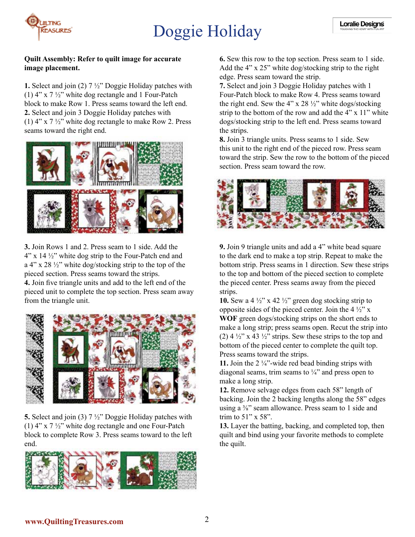

#### **Quilt Assembly: Refer to quilt image for accurate image placement.**

**1.** Select and join (2) 7 ½" Doggie Holiday patches with (1)  $4''$  x 7  $\frac{1}{2}$  white dog rectangle and 1 Four-Patch block to make Row 1. Press seams toward the left end. **2.** Select and join 3 Doggie Holiday patches with (1)  $4''$  x  $7\frac{1}{2}''$  white dog rectangle to make Row 2. Press seams toward the right end.



**3.** Join Rows 1 and 2. Press seam to 1 side. Add the  $4$ " x 14  $\frac{1}{2}$ " white dog strip to the Four-Patch end and a 4" x 28 ½" white dog/stocking strip to the top of the pieced section. Press seams toward the strips. **4.** Join five triangle units and add to the left end of the pieced unit to complete the top section. Press seam away from the triangle unit.



**5.** Select and join (3) 7 ½" Doggie Holiday patches with (1)  $4''$  x  $7\frac{1}{2}''$  white dog rectangle and one Four-Patch block to complete Row 3. Press seams toward to the left end.



**6.** Sew this row to the top section. Press seam to 1 side. Add the 4" x 25" white dog/stocking strip to the right edge. Press seam toward the strip.

**7.** Select and join 3 Doggie Holiday patches with 1 Four-Patch block to make Row 4. Press seams toward the right end. Sew the 4" x 28  $\frac{1}{2}$ " white dogs/stocking strip to the bottom of the row and add the 4" x 11" white dogs/stocking strip to the left end. Press seams toward the strips.

**8.** Join 3 triangle units. Press seams to 1 side. Sew this unit to the right end of the pieced row. Press seam toward the strip. Sew the row to the bottom of the pieced section. Press seam toward the row.



**9.** Join 9 triangle units and add a 4" white bead square to the dark end to make a top strip. Repeat to make the bottom strip. Press seams in 1 direction. Sew these strips to the top and bottom of the pieced section to complete the pieced center. Press seams away from the pieced strips.

**10.** Sew a 4  $\frac{1}{2}$ " x 42  $\frac{1}{2}$ " green dog stocking strip to opposite sides of the pieced center. Join the  $4\frac{1}{2}$ " x **WOF** green dogs/stocking strips on the short ends to make a long strip; press seams open. Recut the strip into (2)  $4\frac{1}{2}$ " x 43  $\frac{1}{2}$ " strips. Sew these strips to the top and bottom of the pieced center to complete the quilt top. Press seams toward the strips.

**11.** Join the 2  $\frac{1}{4}$  wide red bead binding strips with diagonal seams, trim seams to  $\frac{1}{4}$  and press open to make a long strip.

**12.** Remove selvage edges from each 58" length of backing. Join the 2 backing lengths along the 58" edges using a  $\frac{3}{8}$ " seam allowance. Press seam to 1 side and trim to 51" x 58".

**13.** Layer the batting, backing, and completed top, then quilt and bind using your favorite methods to complete the quilt.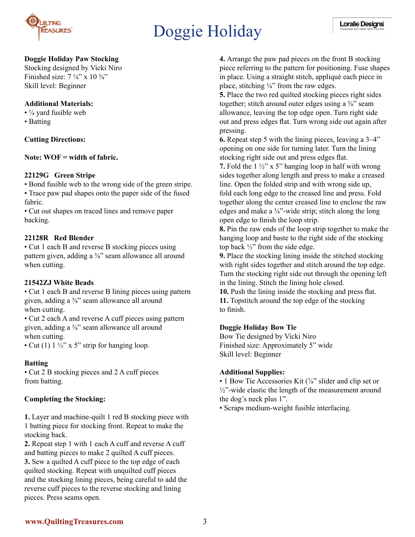

### **Doggie Holiday Paw Stocking**

Stocking designed by Vicki Niro Finished size:  $7\frac{1}{8}$ " x  $10\frac{3}{8}$ " Skill level: Beginner

#### **Additional Materials:**

- $\cdot$  ¼ yard fusible web
- Batting

### **Cutting Directions:**

**Note: WOF = width of fabric.**

#### **22129G Green Stripe**

• Bond fusible web to the wrong side of the green stripe. • Trace paw pad shapes onto the paper side of the fused fabric.

• Cut out shapes on traced lines and remove paper backing.

### **22128R Red Blender**

• Cut 1 each B and reverse B stocking pieces using pattern given, adding a <sup>3</sup>/<sub>8</sub>" seam allowance all around when cutting.

#### **21542ZJ White Beads**

• Cut 1 each B and reverse B lining pieces using pattern given, adding a ⅜" seam allowance all around when cutting.

• Cut 2 each A and reverse A cuff pieces using pattern given, adding a ⅜" seam allowance all around when cutting.

• Cut (1)  $1\frac{1}{2}$ " x 5" strip for hanging loop.

### **Batting**

• Cut 2 B stocking pieces and 2 A cuff pieces from batting.

### **Completing the Stocking:**

**1.** Layer and machine-quilt 1 red B stocking piece with 1 batting piece for stocking front. Repeat to make the stocking back.

**2.** Repeat step 1 with 1 each A cuff and reverse A cuff and batting pieces to make 2 quilted A cuff pieces. **3.** Sew a quilted A cuff piece to the top edge of each quilted stocking. Repeat with unquilted cuff pieces and the stocking lining pieces, being careful to add the reverse cuff pieces to the reverse stocking and lining pieces. Press seams open.

**4.** Arrange the paw pad pieces on the front B stocking piece referring to the pattern for positioning. Fuse shapes in place. Using a straight stitch, appliqué each piece in place, stitching  $\frac{1}{4}$ " from the raw edges.

**5.** Place the two red quilted stocking pieces right sides together; stitch around outer edges using a  $\frac{3}{8}$ " seam allowance, leaving the top edge open. Turn right side out and press edges flat. Turn wrong side out again after pressing.

**6.** Repeat step 5 with the lining pieces, leaving a 3–4" opening on one side for turning later. Turn the lining stocking right side out and press edges flat.

**7.** Fold the 1 ½" x 5" hanging loop in half with wrong sides together along length and press to make a creased line. Open the folded strip and with wrong side up, fold each long edge to the creased line and press. Fold together along the center creased line to enclose the raw edges and make a  $\frac{3}{8}$ "-wide strip; stitch along the long open edge to finish the loop strip.

**8.** Pin the raw ends of the loop strip together to make the hanging loop and baste to the right side of the stocking top back  $\frac{1}{2}$ " from the side edge.

**9.** Place the stocking lining inside the stitched stocking with right sides together and stitch around the top edge. Turn the stocking right side out through the opening left in the lining. Stitch the lining hole closed.

**10.** Push the lining inside the stocking and press flat. **11.** Topstitch around the top edge of the stocking to finish.

### **Doggie Holiday Bow Tie**

Bow Tie designed by Vicki Niro Finished size: Approximately 5" wide Skill level: Beginner

#### **Additional Supplies:**

• 1 Bow Tie Accessories Kit ("/s" slider and clip set or  $\frac{1}{2}$ "-wide elastic the length of the measurement around the dog's neck plus 1".

• Scraps medium-weight fusible interfacing.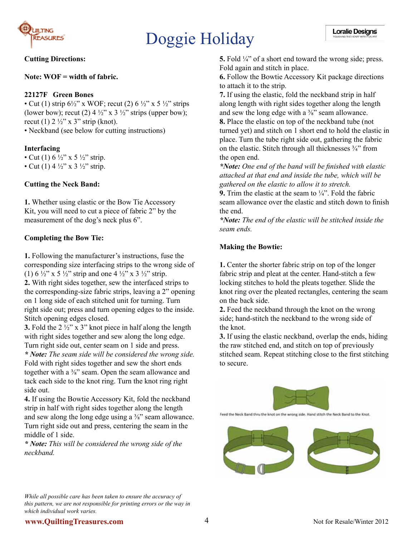

#### **Cutting Directions:**

**Note: WOF = width of fabric.**

#### **22127F Green Bones**

• Cut (1) strip  $6\frac{1}{2}$ " x WOF; recut (2)  $6\frac{1}{2}$ " x 5  $\frac{1}{2}$ " strips (lower bow); recut (2)  $4\frac{1}{2}$ " x  $3\frac{1}{2}$ " strips (upper bow); recut (1)  $2 \frac{1}{2}$ " x 3" strip (knot). • Neckband (see below for cutting instructions)

#### **Interfacing**

- Cut (1)  $6\frac{1}{2}$ " x 5  $\frac{1}{2}$ " strip.
- Cut (1) 4  $\frac{1}{2}$ " x 3  $\frac{1}{2}$ " strip.

#### **Cutting the Neck Band:**

**1.** Whether using elastic or the Bow Tie Accessory Kit, you will need to cut a piece of fabric 2" by the measurement of the dog's neck plus 6".

#### **Completing the Bow Tie:**

**1.** Following the manufacturer's instructions, fuse the corresponding size interfacing strips to the wrong side of (1)  $6\frac{1}{2}$  x  $5\frac{1}{2}$  strip and one  $4\frac{1}{2}$  x  $3\frac{1}{2}$  strip.

**2.** With right sides together, sew the interfaced strips to the corresponding-size fabric strips, leaving a 2" opening on 1 long side of each stitched unit for turning. Turn right side out; press and turn opening edges to the inside. Stitch opening edges closed.

**3.** Fold the 2 ½" x 3" knot piece in half along the length with right sides together and sew along the long edge. Turn right side out, center seam on 1 side and press.

*\* Note: The seam side will be considered the wrong side.*  Fold with right sides together and sew the short ends together with a <sup>3</sup>/<sub>8</sub>" seam. Open the seam allowance and tack each side to the knot ring. Turn the knot ring right side out.

**4.** If using the Bowtie Accessory Kit, fold the neckband strip in half with right sides together along the length and sew along the long edge using a  $\frac{3}{8}$ " seam allowance. Turn right side out and press, centering the seam in the middle of 1 side.

*\* Note: This will be considered the wrong side of the neckband.* 

*While all possible care has been taken to ensure the accuracy of this pattern, we are not responsible for printing errors or the way in which individual work varies.*

**5.** Fold  $\frac{1}{4}$  of a short end toward the wrong side; press. Fold again and stitch in place.

**6.** Follow the Bowtie Accessory Kit package directions to attach it to the strip.

**7.** If using the elastic, fold the neckband strip in half along length with right sides together along the length and sew the long edge with a  $\frac{3}{8}$ " seam allowance. **8.** Place the elastic on top of the neckband tube (not

turned yet) and stitch on 1 short end to hold the elastic in place. Turn the tube right side out, gathering the fabric on the elastic. Stitch through all thicknesses ¾" from the open end.

*\*Note: One end of the band will be finished with elastic attached at that end and inside the tube, which will be gathered on the elastic to allow it to stretch.*

**9.** Trim the elastic at the seam to  $\frac{1}{4}$ . Fold the fabric seam allowance over the elastic and stitch down to finish the end.

*\*Note: The end of the elastic will be stitched inside the seam ends.*

#### **Making the Bowtie:**

**1.** Center the shorter fabric strip on top of the longer fabric strip and pleat at the center. Hand-stitch a few locking stitches to hold the pleats together. Slide the knot ring over the pleated rectangles, centering the seam on the back side.

**2.** Feed the neckband through the knot on the wrong side; hand-stitch the neckband to the wrong side of the knot.

**3.** If using the elastic neckband, overlap the ends, hiding the raw stitched end, and stitch on top of previously stitched seam. Repeat stitching close to the first stitching to secure.



Feed the Neck Band thru the knot on the wrong side. Hand stitch the Neck Band to the Knot.